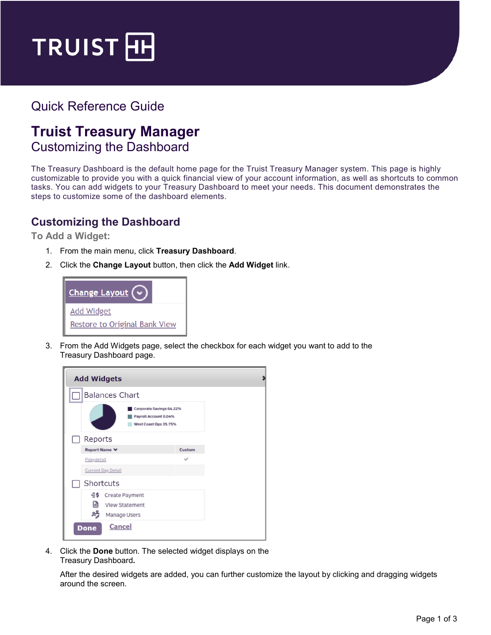

# Quick Reference Guide

# **Truist Treasury Manager**  Customizing the Dashboard

The Treasury Dashboard is the default home page for the Truist Treasury Manager system. This page is highly customizable to provide you with a quick financial view of your account information, as well as shortcuts to common tasks. You can add widgets to your Treasury Dashboard to meet your needs. This document demonstrates the steps to customize some of the dashboard elements.

## **Customizing the Dashboard**

**To Add a Widget:**

- 1. From the main menu, click **Treasury Dashboard**.
- 2. Click the **Change Layout** button, then click the **Add Widget** link.



3. From the Add Widgets page, select the checkbox for each widget you want to add to the Treasury Dashboard page.



4. Click the **Done** button. The selected widget displays on the Treasury Dashboard**.**

After the desired widgets are added, you can further customize the layout by clicking and dragging widgets around the screen.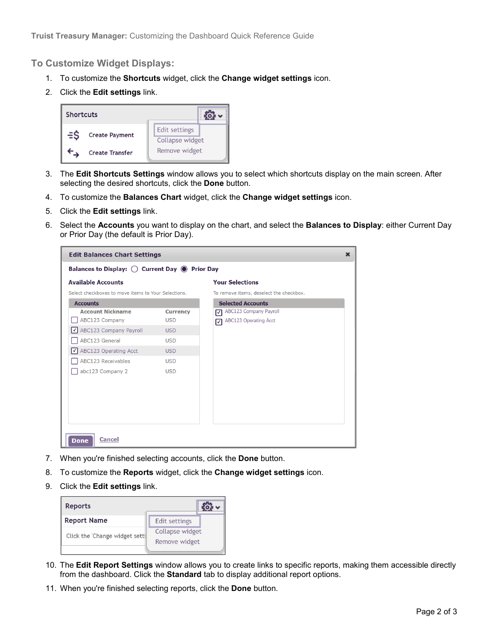#### **To Customize Widget Displays:**

- 1. To customize the **Shortcuts** widget, click the **Change widget settings** icon.
- 2. Click the **Edit settings** link.



- 3. The **Edit Shortcuts Settings** window allows you to select which shortcuts display on the main screen. After selecting the desired shortcuts, click the **Done** button.
- 4. To customize the **Balances Chart** widget, click the **Change widget settings** icon.
- 5. Click the **Edit settings** link.
- 6. Select the **Accounts** you want to display on the chart, and select the **Balances to Display**: either Current Day or Prior Day (the default is Prior Day).

| <b>Edit Balances Chart Settings</b><br>$\mathbf x$               |                 |                                         |  |  |
|------------------------------------------------------------------|-----------------|-----------------------------------------|--|--|
| Balances to Display: $\bigcirc$ Current Day $\bigcirc$ Prior Day |                 |                                         |  |  |
| <b>Available Accounts</b>                                        |                 | <b>Your Selections</b>                  |  |  |
| Select checkboxes to move items to Your Selections.              |                 | To remove items, deselect the checkbox. |  |  |
| <b>Accounts</b>                                                  |                 | <b>Selected Accounts</b>                |  |  |
| <b>Account Nickname</b>                                          | <b>Currency</b> | <b>ABC123 Company Payroll</b><br>☑      |  |  |
| ABC123 Company                                                   | <b>USD</b>      | <b>ABC123 Operating Acct</b><br>☑       |  |  |
| √ ABC123 Company Payroll                                         | <b>USD</b>      |                                         |  |  |
| <b>ABC123 General</b>                                            | <b>USD</b>      |                                         |  |  |
| ABC123 Operating Acct<br>I√I                                     | <b>USD</b>      |                                         |  |  |
| <b>ABC123 Receivables</b>                                        | <b>USD</b>      |                                         |  |  |
| abc123 Company 2                                                 | <b>USD</b>      |                                         |  |  |
|                                                                  |                 |                                         |  |  |
|                                                                  |                 |                                         |  |  |
|                                                                  |                 |                                         |  |  |
|                                                                  |                 |                                         |  |  |
|                                                                  |                 |                                         |  |  |
|                                                                  |                 |                                         |  |  |
|                                                                  |                 |                                         |  |  |
| <b>Cancel</b><br><b>Done</b>                                     |                 |                                         |  |  |

- 7. When you're finished selecting accounts, click the **Done** button.
- 8. To customize the **Reports** widget, click the **Change widget settings** icon.
- 9. Click the **Edit settings** link.

| <b>Reports</b>                 |                 |  |
|--------------------------------|-----------------|--|
| <b>Report Name</b>             | Edit settings   |  |
|                                | Collapse widget |  |
| Click the 'Change widget setti | Remove widget   |  |
|                                |                 |  |

- 10. The **Edit Report Settings** window allows you to create links to specific reports, making them accessible directly from the dashboard. Click the **Standard** tab to display additional report options.
- 11. When you're finished selecting reports, click the **Done** button.